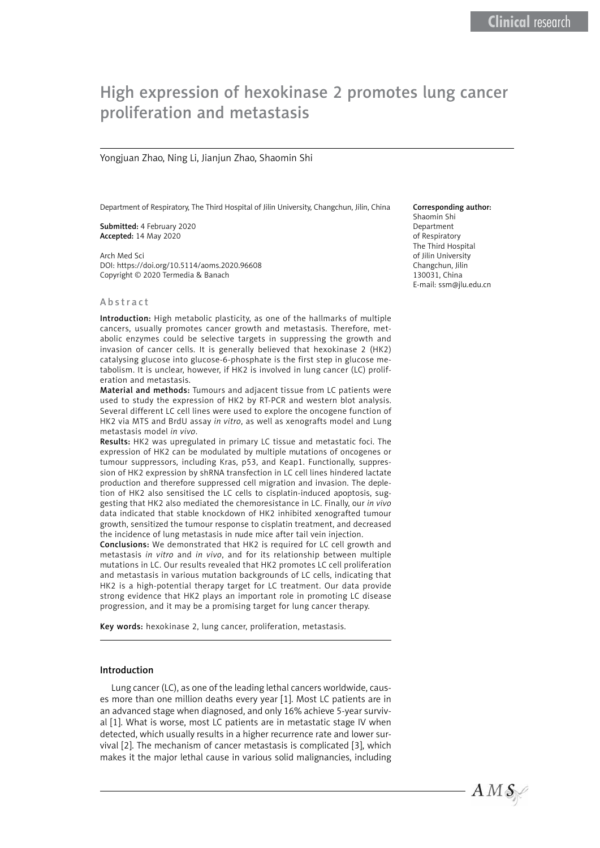# High expression of hexokinase 2 promotes lung cancer proliferation and metastasis

#### Yongjuan Zhao, Ning Li, Jianjun Zhao, Shaomin Shi

Department of Respiratory, The Third Hospital of Jilin University, Changchun, Jilin, China

Submitted: 4 February 2020 Accepted: 14 May 2020

Arch Med Sci DOI: https://doi.org/10.5114/aoms.2020.96608 Copyright © 2020 Termedia & Banach

#### Abstract

Introduction: High metabolic plasticity, as one of the hallmarks of multiple cancers, usually promotes cancer growth and metastasis. Therefore, metabolic enzymes could be selective targets in suppressing the growth and invasion of cancer cells. It is generally believed that hexokinase 2 (HK2) catalysing glucose into glucose-6-phosphate is the first step in glucose metabolism. It is unclear, however, if HK2 is involved in lung cancer (LC) proliferation and metastasis.

Material and methods: Tumours and adjacent tissue from LC patients were used to study the expression of HK2 by RT-PCR and western blot analysis. Several different LC cell lines were used to explore the oncogene function of HK2 via MTS and BrdU assay *in vitro*, as well as xenografts model and Lung metastasis model *in vivo*.

Results: HK2 was upregulated in primary LC tissue and metastatic foci. The expression of HK2 can be modulated by multiple mutations of oncogenes or tumour suppressors, including Kras, p53, and Keap1. Functionally, suppression of HK2 expression by shRNA transfection in LC cell lines hindered lactate production and therefore suppressed cell migration and invasion. The depletion of HK2 also sensitised the LC cells to cisplatin-induced apoptosis, suggesting that HK2 also mediated the chemoresistance in LC. Finally, our *in vivo* data indicated that stable knockdown of HK2 inhibited xenografted tumour growth, sensitized the tumour response to cisplatin treatment, and decreased the incidence of lung metastasis in nude mice after tail vein injection.

Conclusions: We demonstrated that HK2 is required for LC cell growth and metastasis *in vitro* and *in vivo*, and for its relationship between multiple mutations in LC. Our results revealed that HK2 promotes LC cell proliferation and metastasis in various mutation backgrounds of LC cells, indicating that HK2 is a high-potential therapy target for LC treatment. Our data provide strong evidence that HK2 plays an important role in promoting LC disease progression, and it may be a promising target for lung cancer therapy.

Key words: hexokinase 2, lung cancer, proliferation, metastasis.

#### Introduction

Lung cancer (LC), as one of the leading lethal cancers worldwide, causes more than one million deaths every year [1]. Most LC patients are in an advanced stage when diagnosed, and only 16% achieve 5-year survival [1]. What is worse, most LC patients are in metastatic stage IV when detected, which usually results in a higher recurrence rate and lower survival [2]. The mechanism of [cancer metastasis](https://www.sciencedirect.com/topics/medicine-and-dentistry/metastatic-carcinoma) is complicated [3], which makes it the major lethal cause in various solid malignancies, including

#### Corresponding author:

Shaomin Shi Department of Respiratory The Third Hospital of Jilin University Changchun, Jilin 130031, China E-mail: [ssm@jlu.edu.cn](mailto:ssm@jlu.edu.cn)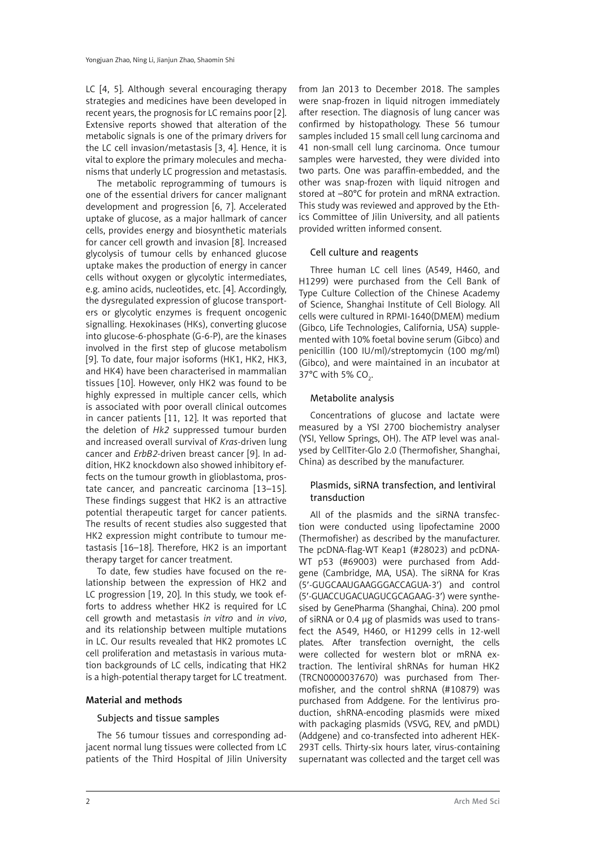LC [4, 5]. Although several encouraging therapy strategies and medicines have been developed in recent years, the prognosis for LC remains poor [2]. Extensive reports showed that alteration of the metabolic signals is one of the primary drivers for the LC cell invasion/metastasis [3, 4]. Hence, it is vital to explore the primary molecules and mechanisms that underly LC progression and metastasis.

The metabolic reprogramming of tumours is one of the essential drivers for cancer malignant development and progression [6, 7]. Accelerated uptake of glucose, as a major hallmark of cancer cells, provides energy and biosynthetic materials for cancer cell growth and invasion [8]. Increased glycolysis of tumour cells by enhanced glucose uptake makes the production of energy in cancer cells without oxygen or glycolytic intermediates, e.g. amino acids, nucleotides, etc. [4]. Accordingly, the dysregulated expression of glucose transporters or glycolytic enzymes is frequent oncogenic signalling. Hexokinases (HKs), converting glucose into glucose-6-phosphate (G-6-P), are the kinases involved in the first step of glucose metabolism [9]. To date, four major isoforms (HK1, HK2, HK3, and HK4) have been characterised in mammalian tissues [10]. However, only HK2 was found to be highly expressed in multiple cancer cells, which is associated with poor overall clinical outcomes in cancer patients [11, 12]. It was reported that the deletion of *Hk2* suppressed tumour burden and increased overall survival of *Kras*-driven lung cancer and *ErbB2*-driven breast cancer [9]. In addition, HK2 knockdown also showed inhibitory effects on the tumour growth in glioblastoma, prostate cancer, and pancreatic carcinoma [13–15]. These findings suggest that HK2 is an attractive potential therapeutic target for cancer patients. The results of recent studies also suggested that HK2 expression might contribute to tumour metastasis [16–18]. Therefore, HK2 is an important therapy target for cancer treatment.

To date, few studies have focused on the relationship between the expression of HK2 and LC progression [19, 20]. In this study, we took efforts to address whether HK2 is required for LC cell growth and metastasis *in vitro* and *in vivo*, and its relationship between multiple mutations in LC. Our results revealed that HK2 promotes LC cell proliferation and metastasis in various mutation backgrounds of LC cells, indicating that HK2 is a high-potential therapy target for LC treatment.

#### Material and methods

#### Subjects and tissue samples

The 56 tumour tissues and corresponding adjacent normal lung tissues were collected from LC patients of the Third Hospital of Jilin University from Jan 2013 to December 2018. The samples were snap-frozen in liquid nitrogen immediately after resection. The diagnosis of lung cancer was confirmed by histopathology. These 56 tumour samples included 15 small cell lung carcinoma and 41 non-small cell lung carcinoma. Once tumour samples were harvested, they were divided into two parts. One was paraffin-embedded, and the other was snap-frozen with liquid nitrogen and stored at –80°C for protein and mRNA extraction. This study was reviewed and approved by the Ethics Committee of Jilin University, and all patients provided written informed consent.

## Cell culture and reagents

Three human LC cell lines (A549, H460, and H1299) were purchased from the Cell Bank of Type Culture Collection of the Chinese Academy of Science, Shanghai Institute of Cell Biology. All cells were cultured in RPMI-1640(DMEM) medium (Gibco, Life Technologies, California, USA) supplemented with 10% foetal bovine serum (Gibco) and penicillin (100 IU/ml)/streptomycin (100 mg/ml) (Gibco), and were maintained in an incubator at 37°C with 5% CO<sub>2</sub>.

## Metabolite analysis

Concentrations of glucose and lactate were measured by a YSI 2700 biochemistry analyser (YSI, Yellow Springs, OH). The ATP level was analysed by CellTiter-Glo 2.0 (Thermofisher, Shanghai, China) as described by the manufacturer.

## Plasmids, siRNA transfection, and lentiviral transduction

All of the plasmids and the siRNA transfection were conducted using lipofectamine 2000 (Thermofisher) as described by the manufacturer. The pcDNA-flag-WT Keap1 (#28023) and pcDNA-WT p53 (#69003) were purchased from Addgene (Cambridge, MA, USA). The siRNA for Kras (5′-GUGCAAUGAAGGGACCAGUA-3′) and control (5′-GUACCUGACUAGUCGCAGAAG-3′) were synthesised by GenePharma (Shanghai, China). 200 pmol of siRNA or 0.4 µg of plasmids was used to transfect the A549, H460, or H1299 cells in 12-well plates. After transfection overnight, the cells were collected for western blot or mRNA extraction. The lentiviral shRNAs for human HK2 (TRCN0000037670) was purchased from Thermofisher, and the control shRNA (#10879) was purchased from Addgene. For the lentivirus production, shRNA-encoding plasmids were mixed with packaging plasmids (VSVG, REV, and pMDL) (Addgene) and co-transfected into adherent HEK-293T cells. Thirty-six hours later, virus-containing supernatant was collected and the target cell was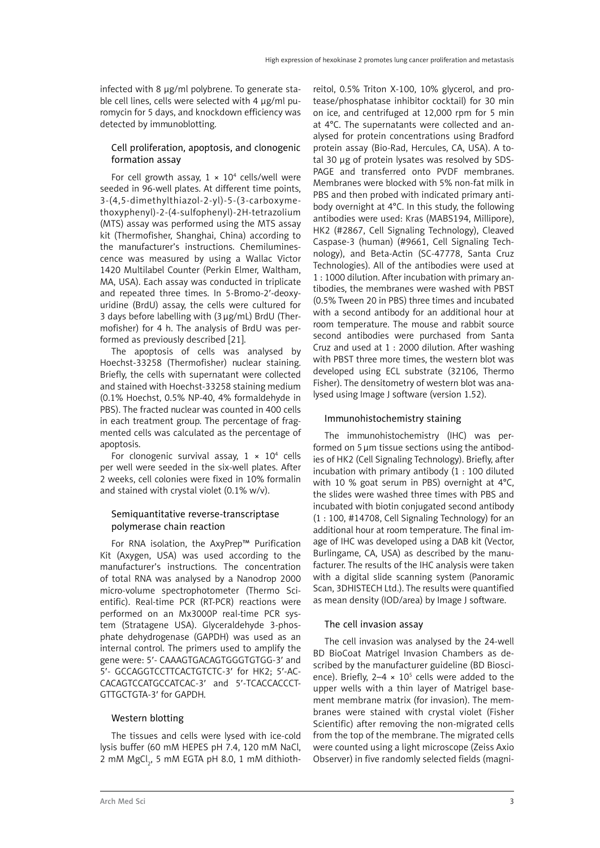infected with 8 µg/ml polybrene. To generate stable cell lines, cells were selected with 4 µg/ml puromycin for 5 days, and knockdown efficiency was detected by immunoblotting.

# Cell proliferation, apoptosis, and clonogenic formation assay

For cell growth assay,  $1 \times 10^4$  cells/well were seeded in 96-well plates. At different time points, 3-(4,5-dimethylthiazol-2-yl)-5-(3-carboxymethoxyphenyl)-2-(4-sulfophenyl)-2H-tetrazolium (MTS) assay was performed using the MTS assay kit (Thermofisher, Shanghai, China) according to the manufacturer's instructions. Chemiluminescence was measured by using a Wallac Victor 1420 Multilabel Counter (Perkin Elmer, Waltham, MA, USA). Each assay was conducted in triplicate and repeated three times. In 5-Bromo-2′-deoxyuridine (BrdU) assay, the cells were cultured for 3 days before labelling with (3µg/mL) BrdU (Thermofisher) for 4 h. The analysis of BrdU was performed as previously described [21].

The apoptosis of cells was analysed by Hoechst-33258 (Thermofisher) nuclear staining. Briefly, the cells with supernatant were collected and stained with Hoechst-33258 staining medium (0.1% Hoechst, 0.5% NP-40, 4% formaldehyde in PBS). The fracted nuclear was counted in 400 cells in each treatment group. The percentage of fragmented cells was calculated as the percentage of apoptosis.

For clonogenic survival assay,  $1 \times 10^4$  cells per well were seeded in the six-well plates. After 2 weeks, cell colonies were fixed in 10% formalin and stained with crystal violet (0.1% w/v).

## Semiquantitative reverse-transcriptase polymerase chain reaction

For RNA isolation, the AxyPrep™ Purification Kit (Axygen, USA) was used according to the manufacturer's instructions. The concentration of total RNA was analysed by a Nanodrop 2000 micro-volume spectrophotometer (Thermo Scientific). Real-time PCR (RT-PCR) reactions were performed on an Mx3000P real-time PCR system (Stratagene USA). Glyceraldehyde 3-phosphate dehydrogenase (GAPDH) was used as an internal control. The primers used to amplify the gene were: 5′- CAAAGTGACAGTGGGTGTGG-3′ and 5′- GCCAGGTCCTTCACTGTCTC-3′ for HK2; 5′-AC-CACAGTCCATGCCATCAC-3′ and 5′-TCACCACCCT-GTTGCTGTA-3′ for GAPDH.

## Western blotting

The tissues and cells were lysed with ice-cold lysis buffer (60 mM HEPES pH 7.4, 120 mM NaCl, 2 mM MgCl<sub>2</sub>, 5 mM EGTA pH 8.0, 1 mM dithiothreitol, 0.5% Triton X-100, 10% glycerol, and protease/phosphatase inhibitor cocktail) for 30 min on ice, and centrifuged at 12,000 rpm for 5 min at 4°C. The supernatants were collected and analysed for protein concentrations using Bradford protein assay (Bio-Rad, Hercules, CA, USA). A total 30 µg of protein lysates was resolved by SDS-PAGE and transferred onto PVDF membranes. Membranes were blocked with 5% non-fat milk in PBS and then probed with indicated primary antibody overnight at 4°C. In this study, the following antibodies were used: Kras (MABS194, Millipore), HK2 (#2867, Cell Signaling Technology), Cleaved Caspase-3 (human) (#9661, Cell Signaling Technology), and Beta-Actin (SC-47778, Santa Cruz Technologies). All of the antibodies were used at 1 : 1000 dilution. After incubation with primary antibodies, the membranes were washed with PBST (0.5% Tween 20 in PBS) three times and incubated with a second antibody for an additional hour at room temperature. The mouse and rabbit source second antibodies were purchased from Santa Cruz and used at 1 : 2000 dilution. After washing with PBST three more times, the western blot was developed using ECL substrate (32106, Thermo Fisher). The densitometry of western blot was analysed using Image J software (version 1.52).

# Immunohistochemistry staining

The immunohistochemistry (IHC) was performed on 5 µm tissue sections using the antibodies of HK2 (Cell Signaling Technology). Briefly, after incubation with primary antibody (1 : 100 diluted with 10 % goat serum in PBS) overnight at 4°C, the slides were washed three times with PBS and incubated with biotin conjugated second antibody (1 : 100, #14708, Cell Signaling Technology) for an additional hour at room temperature. The final image of IHC was developed using a DAB kit (Vector, Burlingame, CA, USA) as described by the manufacturer. The results of the IHC analysis were taken with a digital slide scanning system (Panoramic Scan, 3DHISTECH Ltd.). The results were quantified as mean density (IOD/area) by Image J software.

## The cell invasion assay

The cell invasion was analysed by the 24-well BD BioCoat Matrigel Invasion Chambers as described by the manufacturer guideline (BD Bioscience). Briefly,  $2-4 \times 10^5$  cells were added to the upper wells with a thin layer of Matrigel basement membrane matrix (for invasion). The membranes were stained with crystal violet (Fisher Scientific) after removing the non-migrated cells from the top of the membrane. The migrated cells were counted using a light microscope (Zeiss Axio Observer) in five randomly selected fields (magni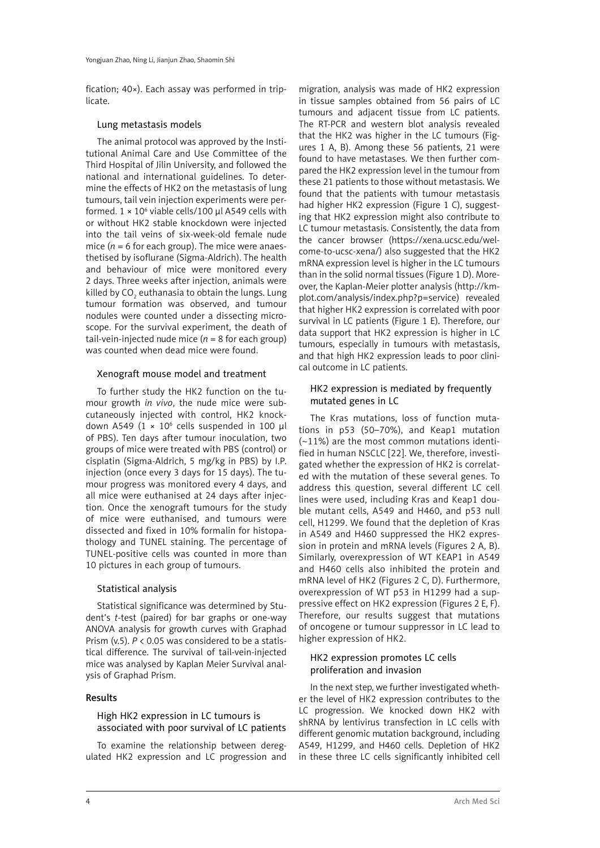fication; 40×). Each assay was performed in triplicate.

## Lung metastasis models

The animal protocol was approved by the Institutional Animal Care and Use Committee of the Third Hospital of Jilin University, and followed the national and international guidelines. To determine the effects of HK2 on the metastasis of lung tumours, tail vein injection experiments were performed.  $1 \times 10^6$  viable cells/100 µl A549 cells with or without HK2 stable knockdown were injected into the tail veins of six-week-old female nude mice  $(n = 6$  for each group). The mice were anaesthetised by isoflurane (Sigma-Aldrich). The health and behaviour of mice were monitored every 2 days. Three weeks after injection, animals were killed by CO $_{_2}$  euthanasia to obtain the lungs. Lung tumour formation was observed, and tumour nodules were counted under a dissecting microscope. For the survival experiment, the death of tail-vein-injected nude mice  $(n = 8$  for each group) was counted when dead mice were found.

## Xenograft mouse model and treatment

To further study the HK2 function on the tumour growth *in vivo*, the nude mice were subcutaneously injected with control, HK2 knockdown A549 ( $1 \times 10^6$  cells suspended in 100 µl of PBS). Ten days after tumour inoculation, two groups of mice were treated with PBS (control) or cisplatin (Sigma-Aldrich, 5 mg/kg in PBS) by I.P. injection (once every 3 days for 15 days). The tumour progress was monitored every 4 days, and all mice were euthanised at 24 days after injection. Once the xenograft tumours for the study of mice were euthanised, and tumours were dissected and fixed in 10% formalin for histopathology and TUNEL staining. The percentage of TUNEL-positive cells was counted in more than 10 pictures in each group of tumours.

## Statistical analysis

Statistical significance was determined by Student's *t*-test (paired) for bar graphs or one-way ANOVA analysis for growth curves with Graphad Prism (v.5). *P* < 0.05 was considered to be a statistical difference. The survival of tail-vein-injected mice was analysed by Kaplan Meier Survival analysis of Graphad Prism.

#### Results

## High HK2 expression in LC tumours is associated with poor survival of LC patients

To examine the relationship between deregulated HK2 expression and LC progression and

migration, analysis was made of HK2 expression in tissue samples obtained from 56 pairs of LC tumours and adjacent tissue from LC patients. The RT-PCR and western blot analysis revealed that the HK2 was higher in the LC tumours (Figures 1 A, B). Among these 56 patients, 21 were found to have metastases. We then further compared the HK2 expression level in the tumour from these 21 patients to those without metastasis. We found that the patients with tumour metastasis had higher HK2 expression (Figure 1 C), suggesting that HK2 expression might also contribute to LC tumour metastasis. Consistently, the data from the cancer browser ([https://xena.ucsc.edu/wel](https://xena.ucsc.edu/welcome-to-ucsc-xena/)[come-to-ucsc-xena/](https://xena.ucsc.edu/welcome-to-ucsc-xena/)) also suggested that the HK2 mRNA expression level is higher in the LC tumours than in the solid normal tissues (Figure 1 D). Moreover, the Kaplan-Meier plotter analysis ([http://km](http://kmplot.com/analysis/index.php?p=service)[plot.com/analysis/index.php?p=service\)](http://kmplot.com/analysis/index.php?p=service) revealed that higher HK2 expression is correlated with poor survival in LC patients (Figure 1 E). Therefore, our data support that HK2 expression is higher in LC tumours, especially in tumours with metastasis, and that high HK2 expression leads to poor clinical outcome in LC patients.

# HK2 expression is mediated by frequently mutated genes in LC

The Kras mutations, loss of function mutations in p53 (50–70%), and Keap1 mutation (~11%) are the most common mutations identified in human NSCLC [22]. We, therefore, investigated whether the expression of HK2 is correlated with the mutation of these several genes. To address this question, several different LC cell lines were used, including Kras and Keap1 double mutant cells, A549 and H460, and p53 null cell, H1299. We found that the depletion of Kras in A549 and H460 suppressed the HK2 expression in protein and mRNA levels (Figures 2 A, B). Similarly, overexpression of WT KEAP1 in A549 and H460 cells also inhibited the protein and mRNA level of HK2 (Figures 2 C, D). Furthermore, overexpression of WT p53 in H1299 had a suppressive effect on HK2 expression (Figures 2 E, F). Therefore, our results suggest that mutations of oncogene or tumour suppressor in LC lead to higher expression of HK2.

# HK2 expression promotes LC cells proliferation and invasion

In the next step, we further investigated whether the level of HK2 expression contributes to the LC progression. We knocked down HK2 with shRNA by lentivirus transfection in LC cells with different genomic mutation background, including A549, H1299, and H460 cells. Depletion of HK2 in these three LC cells significantly inhibited cell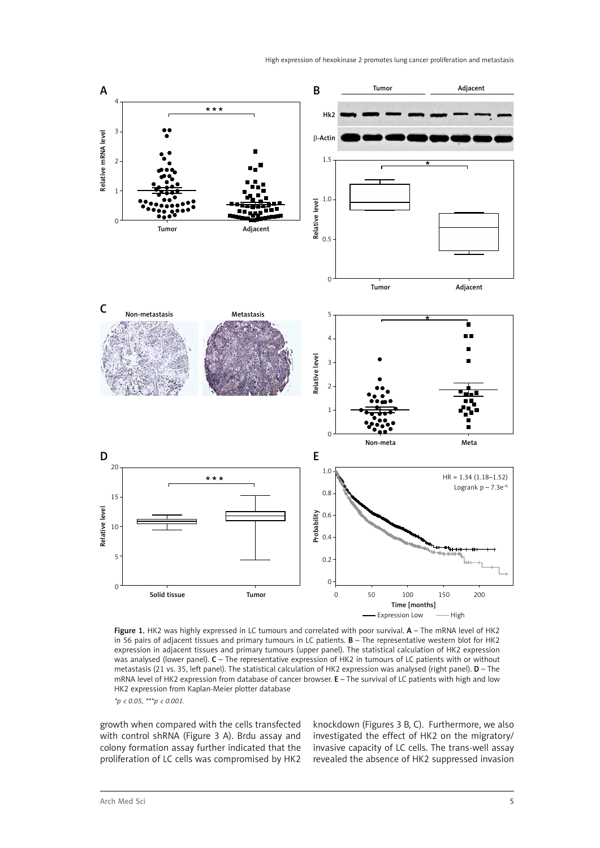

Figure 1. HK2 was highly expressed in LC tumours and correlated with poor survival. A - The mRNA level of HK2 in 56 pairs of adjacent tissues and primary tumours in LC patients. B – The representative western blot for HK2 expression in adjacent tissues and primary tumours (upper panel). The statistical calculation of HK2 expression was analysed (lower panel). C – The representative expression of HK2 in tumours of LC patients with or without metastasis (21 vs. 35, left panel). The statistical calculation of HK2 expression was analysed (right panel). **D** – The mRNA level of HK2 expression from database of cancer browser. E – The survival of LC patients with high and low HK2 expression from Kaplan-Meier plotter database

*\*p < 0.05, \*\*\*p < 0.001.*

growth when compared with the cells transfected with control shRNA (Figure 3 A). Brdu assay and colony formation assay further indicated that the proliferation of LC cells was compromised by HK2 knockdown (Figures 3 B, C). Furthermore, we also investigated the effect of HK2 on the migratory/ invasive capacity of LC cells. The trans-well assay revealed the absence of HK2 suppressed invasion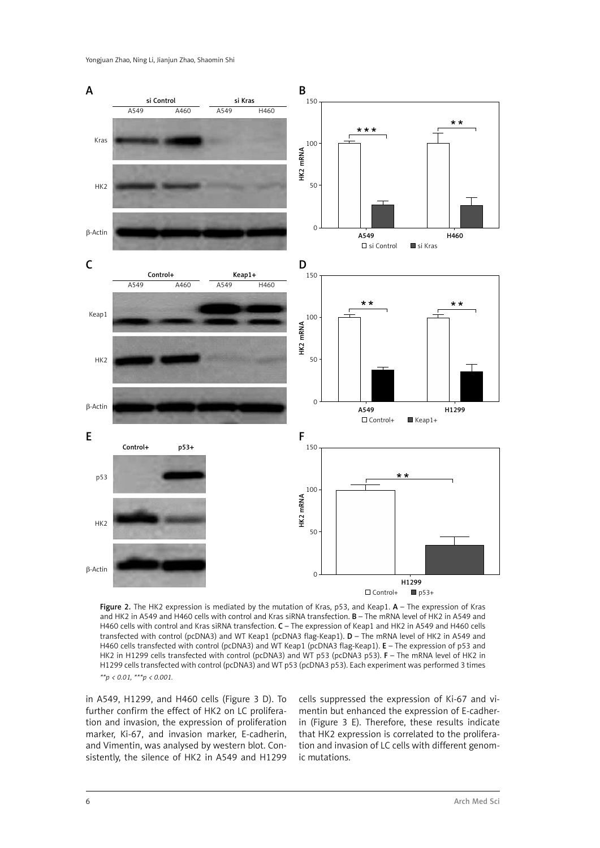

Figure 2. The HK2 expression is mediated by the mutation of Kras, p53, and Keap1. A - The expression of Kras and HK2 in A549 and H460 cells with control and Kras siRNA transfection. B – The mRNA level of HK2 in A549 and H460 cells with control and Kras siRNA transfection. C - The expression of Keap1 and HK2 in A549 and H460 cells transfected with control (pcDNA3) and WT Keap1 (pcDNA3 flag-Keap1). D – The mRNA level of HK2 in A549 and H460 cells transfected with control (pcDNA3) and WT Keap1 (pcDNA3 flag-Keap1). E – The expression of p53 and HK2 in H1299 cells transfected with control (pcDNA3) and WT p53 (pcDNA3 p53). F – The mRNA level of HK2 in H1299 cells transfected with control (pcDNA3) and WT p53 (pcDNA3 p53). Each experiment was performed 3 times *\*\*p < 0.01, \*\*\*p < 0.001.*

in A549, H1299, and H460 cells (Figure 3 D). To further confirm the effect of HK2 on LC proliferation and invasion, the expression of proliferation marker, Ki-67, and invasion marker, E-cadherin, and Vimentin, was analysed by western blot. Consistently, the silence of HK2 in A549 and H1299 cells suppressed the expression of Ki-67 and vimentin but enhanced the expression of E-cadherin (Figure 3 E). Therefore, these results indicate that HK2 expression is correlated to the proliferation and invasion of LC cells with different genomic mutations.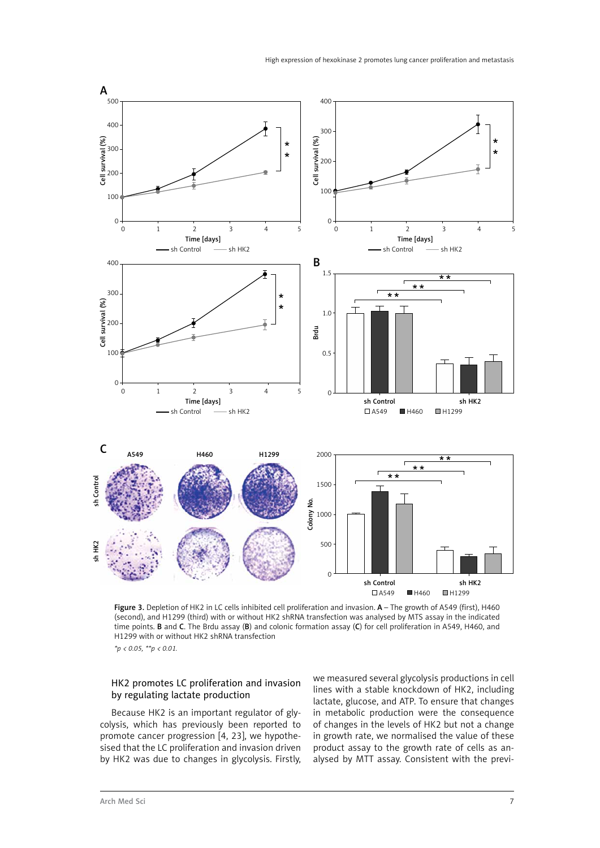

Figure 3. Depletion of HK2 in LC cells inhibited cell proliferation and invasion. A - The growth of A549 (first), H460 (second), and H1299 (third) with or without HK2 shRNA transfection was analysed by MTS assay in the indicated time points. B and C. The Brdu assay (B) and colonic formation assay (C) for cell proliferation in A549, H460, and H1299 with or without HK2 shRNA transfection *\*p < 0.05, \*\*p < 0.01.*

# HK2 promotes LC proliferation and invasion by regulating lactate production

Because HK2 is an important regulator of glycolysis, which has previously been reported to promote cancer progression [4, 23], we hypothesised that the LC proliferation and invasion driven by HK2 was due to changes in glycolysis. Firstly, we measured several glycolysis productions in cell lines with a stable knockdown of HK2, including lactate, glucose, and ATP. To ensure that changes in metabolic production were the consequence of changes in the levels of HK2 but not a change in growth rate, we normalised the value of these product assay to the growth rate of cells as analysed by MTT assay. Consistent with the previ-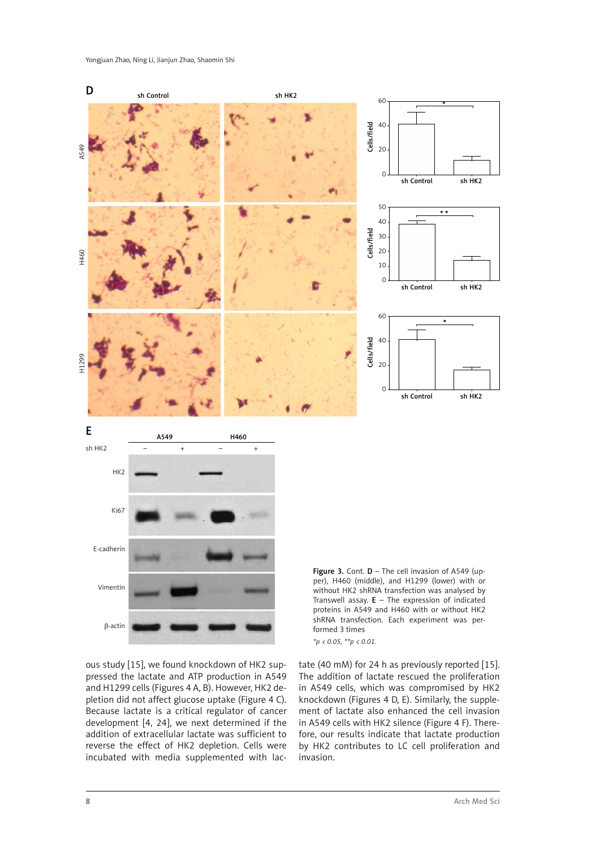

ous study [15], we found knockdown of HK2 suppressed the lactate and ATP production in A549 and H1299 cells (Figures 4 A, B). However, HK2 depletion did not affect glucose uptake (Figure 4 C). Because lactate is a critical regulator of cancer development [4, 24], we next determined if the addition of extracellular lactate was sufficient to reverse the effect of HK2 depletion. Cells were incubated with media supplemented with lactate (40 mM) for 24 h as previously reported [15]. The addition of lactate rescued the proliferation in A549 cells, which was compromised by HK2 knockdown (Figures 4 D, E). Similarly, the supplement of lactate also enhanced the cell invasion in A549 cells with HK2 silence (Figure 4 F). Therefore, our results indicate that lactate production by HK2 contributes to LC cell proliferation and invasion.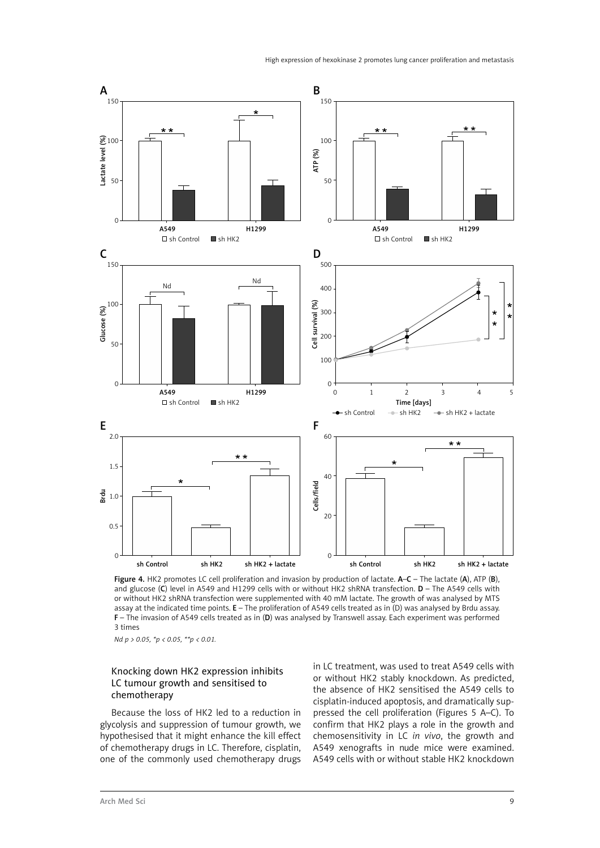

Figure 4. HK2 promotes LC cell proliferation and invasion by production of lactate. A–C – The lactate (A), ATP (B), and glucose (C) level in A549 and H1299 cells with or without HK2 shRNA transfection. D – The A549 cells with or without HK2 shRNA transfection were supplemented with 40 mM lactate. The growth of was analysed by MTS assay at the indicated time points. E – The proliferation of A549 cells treated as in (D) was analysed by Brdu assay. F – The invasion of A549 cells treated as in (D) was analysed by Transwell assay. Each experiment was performed 3 times

*Nd p > 0.05, \*p < 0.05, \*\*p < 0.01.*

# Knocking down HK2 expression inhibits LC tumour growth and sensitised to chemotherapy

Because the loss of HK2 led to a reduction in glycolysis and suppression of tumour growth, we hypothesised that it might enhance the kill effect of chemotherapy drugs in LC. Therefore, cisplatin, one of the commonly used chemotherapy drugs in LC treatment, was used to treat A549 cells with or without HK2 stably knockdown. As predicted, the absence of HK2 sensitised the A549 cells to cisplatin-induced apoptosis, and dramatically suppressed the cell proliferation (Figures 5 A–C). To confirm that HK2 plays a role in the growth and chemosensitivity in LC *in vivo*, the growth and A549 xenografts in nude mice were examined. A549 cells with or without stable HK2 knockdown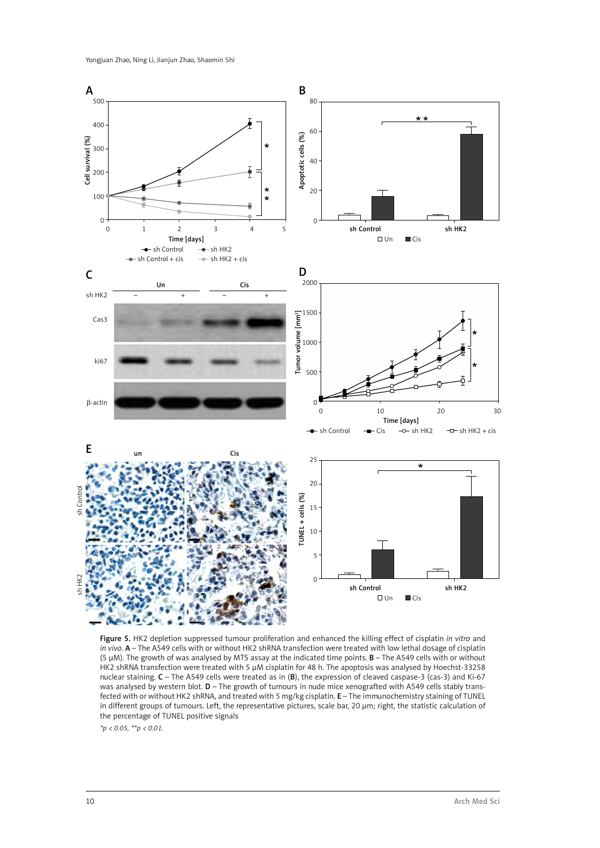

Figure 5. HK2 depletion suppressed tumour proliferation and enhanced the killing effect of cisplatin *in vitro* and *in vivo*. A – The A549 cells with or without HK2 shRNA transfection were treated with low lethal dosage of cisplatin (5  $\mu$ M). The growth of was analysed by MTS assay at the indicated time points. **B** – The A549 cells with or without HK2 shRNA transfection were treated with 5 µM cisplatin for 48 h. The apoptosis was analysed by Hoechst-33258 nuclear staining. C – The A549 cells were treated as in (B), the expression of cleaved caspase-3 (cas-3) and Ki-67 was analysed by western blot. D – The growth of tumours in nude mice xenografted with A549 cells stably transfected with or without HK2 shRNA, and treated with 5 mg/kg cisplatin. E – The immunochemistry staining of TUNEL in different groups of tumours. Left, the representative pictures, scale bar, 20 µm; right, the statistic calculation of the percentage of TUNEL positive signals

*\*p < 0.05, \*\*p < 0.01.*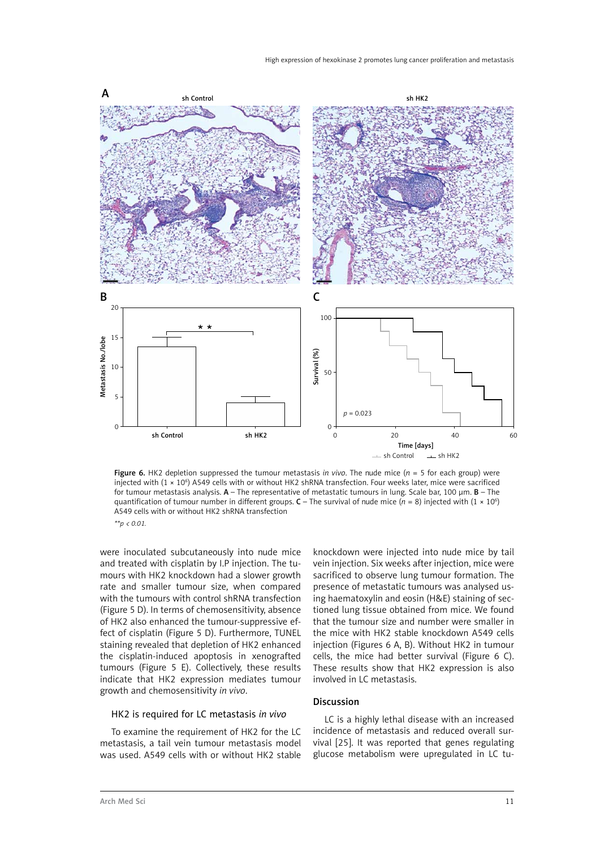

Figure 6. HK2 depletion suppressed the tumour metastasis *in vivo*. The nude mice (*n* = 5 for each group) were injected with (1 × 106 ) A549 cells with or without HK2 shRNA transfection. Four weeks later, mice were sacrificed for tumour metastasis analysis.  $A$  – The representative of metastatic tumours in lung. Scale bar, 100 um.  $B$  – The quantification of tumour number in different groups. **C** – The survival of nude mice ( $n = 8$ ) injected with (1 × 10<sup>6</sup>) A549 cells with or without HK2 shRNA transfection *\*\*p < 0.01.*

were inoculated subcutaneously into nude mice and treated with cisplatin by I.P injection. The tumours with HK2 knockdown had a slower growth rate and smaller tumour size, when compared with the tumours with control shRNA transfection (Figure 5 D). In terms of chemosensitivity, absence of HK2 also enhanced the tumour-suppressive effect of cisplatin (Figure 5 D). Furthermore, TUNEL staining revealed that depletion of HK2 enhanced the cisplatin-induced apoptosis in xenografted tumours (Figure 5 E). Collectively, these results indicate that HK2 expression mediates tumour growth and chemosensitivity *in vivo*.

# sacrificed to observe lung tumour formation. The presence of metastatic tumours was analysed using haematoxylin and eosin (H&E) staining of sectioned lung tissue obtained from mice. We found that the tumour size and number were smaller in the mice with HK2 stable knockdown A549 cells injection (Figures 6 A, B). Without HK2 in tumour cells, the mice had better survival (Figure 6 C). These results show that HK2 expression is also involved in LC metastasis.

knockdown were injected into nude mice by tail vein injection. Six weeks after injection, mice were

# Discussion

#### HK2 is required for LC metastasis *in vivo*

To examine the requirement of HK2 for the LC metastasis, a tail vein tumour metastasis model was used. A549 cells with or without HK2 stable

LC is a highly lethal disease with an increased incidence of metastasis and reduced overall survival [25]. It was reported that genes regulating glucose metabolism were upregulated in LC tu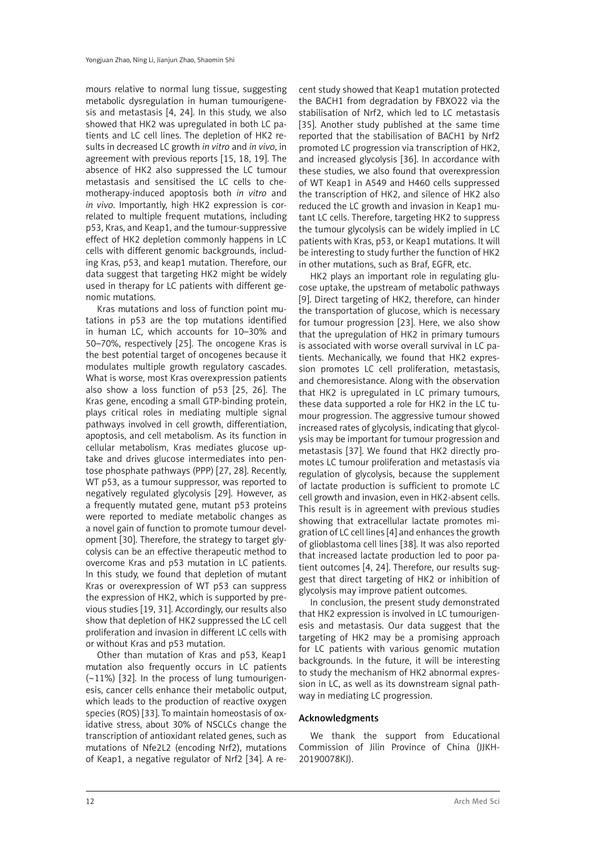mours relative to normal lung tissue, suggesting metabolic dysregulation in human tumourigenesis and metastasis [4, 24]. In this study, we also showed that HK2 was upregulated in both LC patients and LC cell lines. The depletion of HK2 results in decreased LC growth *in vitro* and *in vivo*, in agreement with previous reports [15, 18, 19]. The absence of HK2 also suppressed the LC tumour metastasis and sensitised the LC cells to chemotherapy-induced apoptosis both *in vitro* and *in vivo*. Importantly, high HK2 expression is correlated to multiple frequent mutations, including p53, Kras, and Keap1, and the tumour-suppressive effect of HK2 depletion commonly happens in LC cells with different genomic backgrounds, including Kras, p53, and keap1 mutation. Therefore, our data suggest that targeting HK2 might be widely used in therapy for LC patients with different genomic mutations.

Kras mutations and loss of function point mutations in p53 are the top mutations identified in human LC, which accounts for 10–30% and 50–70%, respectively [25]. The oncogene Kras is the best potential target of oncogenes because it modulates multiple growth regulatory cascades. What is worse, most Kras overexpression patients also show a loss function of p53 [25, 26]. The Kras gene, encoding a small GTP-binding protein, plays critical roles in mediating multiple signal pathways involved in cell growth, differentiation, apoptosis, and cell metabolism. As its function in cellular metabolism, Kras mediates glucose uptake and drives glucose intermediates into pentose phosphate pathways (PPP) [27, 28]. Recently, WT p53, as a tumour suppressor, was reported to negatively regulated glycolysis [29]. However, as a frequently mutated gene, mutant p53 proteins were reported to mediate metabolic changes as a novel gain of function to promote tumour development [30]. Therefore, the strategy to target glycolysis can be an effective therapeutic method to overcome Kras and p53 mutation in LC patients. In this study, we found that depletion of mutant Kras or overexpression of WT p53 can suppress the expression of HK2, which is supported by previous studies [19, 31]. Accordingly, our results also show that depletion of HK2 suppressed the LC cell proliferation and invasion in different LC cells with or without Kras and p53 mutation.

Other than mutation of Kras and p53, Keap1 mutation also frequently occurs in LC patients (~11%) [32]. In the process of lung tumourigenesis, cancer cells enhance their metabolic output, which leads to the production of reactive oxygen species (ROS) [33]. To maintain homeostasis of oxidative stress, about 30% of NSCLCs change the transcription of antioxidant related genes, such as mutations of Nfe2L2 (encoding Nrf2), mutations of Keap1, a negative regulator of Nrf2 [34]. A re-

cent study showed that Keap1 mutation protected the BACH1 from degradation by FBXO22 via the stabilisation of Nrf2, which led to LC metastasis [35]. Another study published at the same time reported that the stabilisation of BACH1 by Nrf2 promoted LC progression via transcription of HK2, and increased glycolysis [36]. In accordance with these studies, we also found that overexpression of WT Keap1 in A549 and H460 cells suppressed the transcription of HK2, and silence of HK2 also reduced the LC growth and invasion in Keap1 mutant LC cells. Therefore, targeting HK2 to suppress the tumour glycolysis can be widely implied in LC patients with Kras, p53, or Keap1 mutations. It will be interesting to study further the function of HK2 in other mutations, such as Braf, EGFR, etc.

HK2 plays an important role in regulating glucose uptake, the upstream of metabolic pathways [9]. Direct targeting of HK2, therefore, can hinder the transportation of glucose, which is necessary for tumour progression [23]. Here, we also show that the upregulation of HK2 in primary tumours is associated with worse overall survival in LC patients. Mechanically, we found that HK2 expression promotes LC cell proliferation, metastasis, and chemoresistance. Along with the observation that HK2 is upregulated in LC primary tumours, these data supported a role for HK2 in the LC tumour progression. The aggressive tumour showed increased rates of glycolysis, indicating that glycolysis may be important for tumour progression and metastasis [37]. We found that HK2 directly promotes LC tumour proliferation and metastasis via regulation of glycolysis, because the supplement of lactate production is sufficient to promote LC cell growth and invasion, even in HK2-absent cells. This result is in agreement with previous studies showing that extracellular lactate promotes migration of LC cell lines [4] and enhances the growth of glioblastoma cell lines [38]. It was also reported that increased lactate production led to poor patient outcomes [4, 24]. Therefore, our results suggest that direct targeting of HK2 or inhibition of glycolysis may improve patient outcomes.

In conclusion, the present study demonstrated that HK2 expression is involved in LC tumourigenesis and metastasis. Our data suggest that the targeting of HK2 may be a promising approach for LC patients with various genomic mutation backgrounds. In the future, it will be interesting to study the mechanism of HK2 abnormal expression in LC, as well as its downstream signal pathway in mediating LC progression.

#### Acknowledgments

We thank the support from Educational Commission of Jilin Province of China (JJKH-20190078KJ).